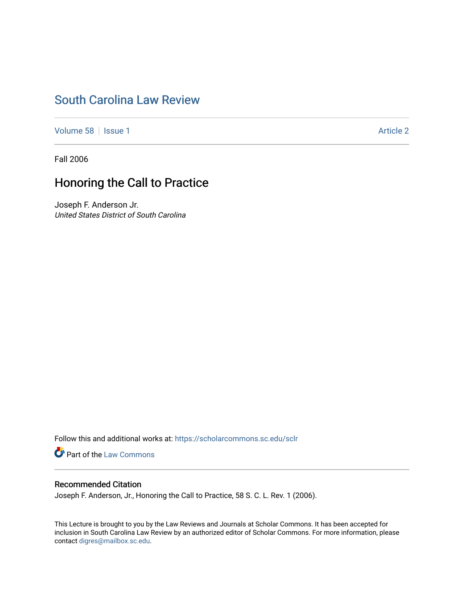# [South Carolina Law Review](https://scholarcommons.sc.edu/sclr)

[Volume 58](https://scholarcommons.sc.edu/sclr/vol58) | [Issue 1](https://scholarcommons.sc.edu/sclr/vol58/iss1) Article 2

Fall 2006

## Honoring the Call to Practice

Joseph F. Anderson Jr. United States District of South Carolina

Follow this and additional works at: [https://scholarcommons.sc.edu/sclr](https://scholarcommons.sc.edu/sclr?utm_source=scholarcommons.sc.edu%2Fsclr%2Fvol58%2Fiss1%2F2&utm_medium=PDF&utm_campaign=PDFCoverPages)

**Part of the [Law Commons](http://network.bepress.com/hgg/discipline/578?utm_source=scholarcommons.sc.edu%2Fsclr%2Fvol58%2Fiss1%2F2&utm_medium=PDF&utm_campaign=PDFCoverPages)** 

### Recommended Citation

Joseph F. Anderson, Jr., Honoring the Call to Practice, 58 S. C. L. Rev. 1 (2006).

This Lecture is brought to you by the Law Reviews and Journals at Scholar Commons. It has been accepted for inclusion in South Carolina Law Review by an authorized editor of Scholar Commons. For more information, please contact [digres@mailbox.sc.edu.](mailto:digres@mailbox.sc.edu)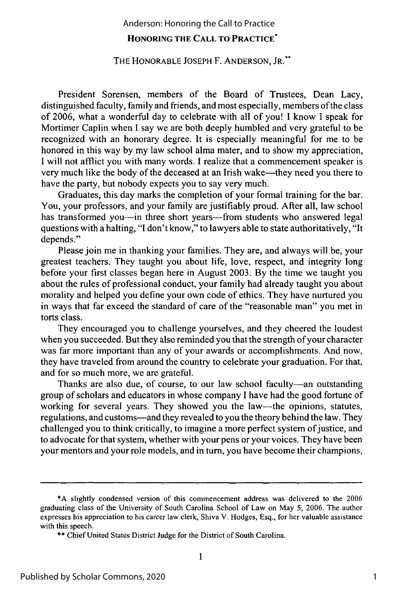#### Anderson: Honoring the Call to Practice

### **HONORING THE CALL TO PRACTICE\***

#### THE HONORABLE JOSEPH F. ANDERSON, JR.\*

President Sorensen, members of the Board of Trustees, Dean Lacy, distinguished faculty, family and friends, and most especially, members of the class of 2006, what a wonderful day to celebrate with all of you! I know I speak for Mortimer Caplin when I say we are both deeply humbled and very grateful to be recognized with an honorary degree. It is especially meaningful for me to be honored in this way by my law school alma mater, and to show my appreciation, I will not afflict you with many words. I realize that a commencement speaker is very much like the body of the deceased at an Irish wake-they need you there to have the party, but nobody expects you to say very much.

Graduates, this day marks the completion of your formal training for the bar. You, your professors, and your family are justifiably proud. After all, law school has transformed you--in three short years-from students who answered legal questions with a halting, "I don't know," to lawyers able to state authoritatively, "It depends."

Please join me in thanking your families. They are, and always will be, your greatest teachers. They taught you about life, love, respect, and integrity long before your first classes began here in August 2003. By the time we taught you about the rules of professional conduct, your family had already taught you about morality and helped you define your own code of ethics. They have nurtured you in ways that far exceed the standard of care of the "reasonable man" you met in torts class.

They encouraged you to challenge yourselves, and they cheered the loudest when you succeeded. But they also reminded you that the strength of your character was far more important than any of your awards or accomplishments. And now, they have traveled from around the country to celebrate your graduation. For that, and for so much more, we are grateful.

Thanks are also due, of course, to our law school faculty--- an outstanding group of scholars and educators in whose company I have had the good fortune of working for several years. They showed you the law-the opinions, statutes, regulations, and customs-and they revealed to you the theory behind the law. They challenged you to think critically, to imagine a more perfect system of justice, and to advocate for that system, whether with your pens or your voices. They have been your mentors and your role models, and in turn, you have become their champions,

<sup>\*</sup>A slightly condensed version of this commencement address was delivered to the 2006 graduating class of the University of South Carolina School of Law on May 5, 2006. The author expresses his appreciation to his career law clerk, Shiva V. Hodges, Esq., for her valuable assistance with this speech.

<sup>\*\*</sup> Chief United States District Judge for the District of South Carolina.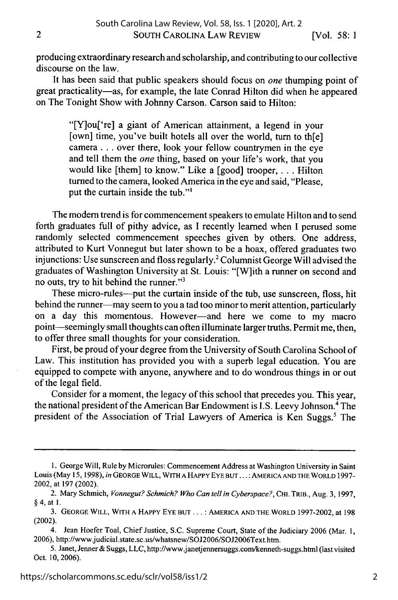producing extraordinary research and scholarship, and contributing to our collective discourse on the law.

It has been said that public speakers should focus on *one* thumping point of great practicality-as, for example, the late Conrad Hilton did when he appeared on The Tonight Show with Johnny Carson. Carson said to Hilton:

> "[Y]ou['re] a giant of American attainment, a legend in your [own] time, you've built hotels all over the world, turn to th[e] camera... over there, look your fellow countrymen in the eye and tell them the *one* thing, based on your life's work, that you would like [them] to know." Like a [good] trooper, . **.** . Hilton turned to the camera, looked America in the eye and said, "Please, put the curtain inside the tub."'

The modem trend is for commencement speakers to emulate Hilton and to send forth graduates full of pithy advice, as I recently learned when I perused some randomly selected commencement speeches given by others. One address, attributed to Kurt Vonnegut but later shown to be a hoax, offered graduates two injunctions: Use sunscreen and floss regularly.' Columnist George Will advised the graduates of Washington University at St. Louis: "[W]ith a runner on second and no outs, try to hit behind the runner."3

These micro-rules---put the curtain inside of the tub, use sunscreen, floss, hit behind the runner—may seem to you a tad too minor to merit attention, particularly on a day this momentous. However-and here we come to my macro point-seemingly small thoughts can often illuminate larger truths. Permit me, then, to offer three small thoughts for your consideration.

First, be proud of your degree from the University of South Carolina School of Law. This institution has provided you with a superb legal education. You are equipped to compete with anyone, anywhere and to do wondrous things in or out of the legal field.

Consider for a moment, the legacy of this school that precedes you. This year, the national president of the American Bar Endowment is I.S. Leevy Johnson.4 The president of the Association of Trial Lawyers of America is Ken Suggs.<sup>5</sup> The

<sup>1.</sup> George Will, Rule by Microrules: Commencement Address at Washington University in Saint Louis (May 15, 1998), *in* **GEORGE** WILL, WITH **A HAPPY** EYE **BUT... :** AMERICA **AND** THE WORLD **1997-** 2002, at 197 (2002).

<sup>2.</sup> Mary Schmich, *Vonnegut? Schmich? Who Can tell in Cyberspace?,* **CHI.** TRIB., Aug. 3, 1997, §4, at **1.**

<sup>3.</sup> **GEORGE** WILL, WITH **A HAPPY** EYE **BUT... :** AMERICA **AND** THE WORLD 1997-2002, at 198 (2002).

<sup>4.</sup> Jean Hoefer Toal, Chief Justice, S.C. Supreme Court, State of the Judiciary 2006 (Mar. 1, 2006), http://www.judicial.state.sc.us/whatsnew/SOJ2006/SOJ2006Text.htm.

<sup>5.</sup> Janet, Jenner & Suggs, LLC, http://www.janetjennersuggs.com/kenneth-suggs.html (last visited Oct. 10, 2006).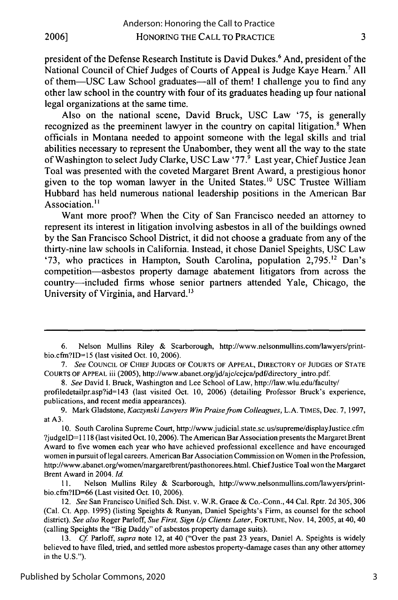president of the Defense Research Institute is David Dukes.6 And, president of the National Council of Chief Judges of Courts of Appeal is Judge Kaye Heam.7 **All** of them-USC Law School graduates-all of them! **I** challenge you to find any other law school in the country with four of its graduates heading up four national legal organizations at the same time.

Also on the national scene, David Bruck, **USC** Law **'75,** is generally recognized as the preeminent lawyer in the country on capital litigation.<sup>8</sup> When officials in Montana needed to appoint someone with the legal skills and trial abilities necessary to represent the Unabomber, they went all the way to the state of Washington to select Judy Clarke, USC Law **'77.'** Last year, Chief Justice Jean Toal was presented with the coveted Margaret Brent Award, a prestigious honor given to the top woman lawyer in the United States." **USC** Trustee William Hubbard has held numerous national leadership positions in the American Bar Association.<sup>11</sup>

Want more proof? When the City of San Francisco needed an attorney to represent its interest in litigation involving asbestos in all of the buildings owned **by** the San Francisco School District, it did not choose a graduate from any of the thirty-nine law schools in California. Instead, it chose Daniel Speights, **USC** Law '73, who practices in Hampton, South Carolina, population 2,795.<sup>12</sup> Dan's competition-asbestos property damage abatement litigators from across the country-included firms whose senior partners attended Yale, Chicago, the University of Virginia, and Harvard. **<sup>13</sup>**

3

<sup>6.</sup> Nelson Mullins Riley & Scarborough, http://www.nelsonmullins.com/lawyers/printbio.cfrn?ID= **15** (last visited Oct. 10, 2006).

*<sup>7.</sup> See* **COUNCIL** OF **CHIEF JUDGES** OF **COURTS** OF **APPEAL,** DIRECTORY OF **JUDGES** OF **STATE COURTS** OF **APPEAL** iii (2005), http://www.abanet.org/jd/ajc/ccjca/pdf/directoryintro.pdf.

*<sup>8.</sup> See* David I. Bruck, Washington and Lee School of Law, http://law.wlu.edu/faculty/ profiledetailpr.asp?id=143 (last visited Oct. 10, 2006) (detailing Professor Bruck's experience, publications, and recent media appearances).

<sup>9.</sup> Mark Gladstone, *Kaczynski Lawyers Win Praise from Colleagues,* L.A. **TIMES,** Dec. 7, 1997, at A3.

<sup>10.</sup> South Carolina Supreme Court, http://www.judicial.state.sc.us/supreme/displayJustice.cfm ?judgelD= 1118 (last visited Oct. 10, 2006). The American Bar Association presents the Margaret Brent Award to five women each year who have achieved professional excellence and have encouraged women in pursuit of legal careers. American Bar Association Commission on Women in the Profession, http://www.abanet.org/women/margaretbrent/pasthonorees.html. Chief Justice Toal won the Margaret Brent Award in 2004. *Id.*

**<sup>11.</sup>** Nelson Mullins Riley & Scarborough, http://www.nelsonmullins.com/lawyers/printbio.cfm?ID=66 (Last visited Oct. 10, 2006).

<sup>12.</sup> *See* San Francisco Unified Sch. Dist. v. W.R. Grace & Co.-Conn., 44 Cal. Rptr. 2d 305, **306** (Cal. Ct. App. 1995) (listing Speights & Runyan, Daniel Speights's Firm, as counsel for the school district). *See also* Roger Parloff, *Sue First, Sign Up Clients Later,* **FORTUNE,** Nov. 14, 2005, at 40, 40 (calling Speights the "Big Daddy" of asbestos property damage suits).

<sup>13.</sup> *Cf* Parloff, *supra* note 12, at 40 ("Over the past 23 years, Daniel A. Speights is widely believed to have filed, tried, and settled more asbestos property-damage cases than any other attorney in the U.S.").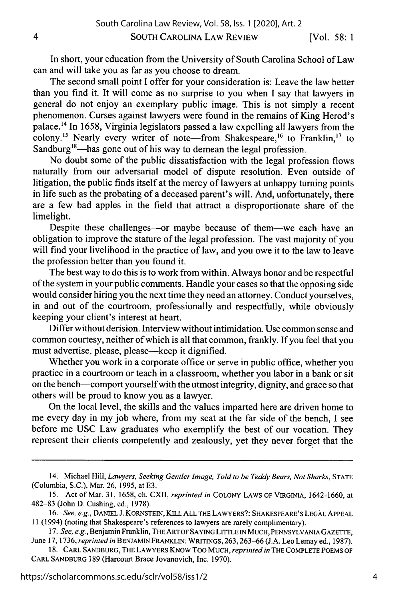SOUTH CAROLINA LAW REVIEW

In short, your education from the University of South Carolina School of Law can and will take you as far as you choose to dream.

The second small point I offer for your consideration is: Leave the law better than you find it. It will come as no surprise to you when I say that lawyers in general do not enjoy an exemplary public image. This is not simply a recent phenomenon. Curses against lawyers were found in the remains of King Herod's palace.'4 In 1658, Virginia legislators passed a law expelling all lawyers from the colony.<sup>15</sup> Nearly every writer of note-from Shakespeare,<sup>16</sup> to Franklin,<sup>17</sup> to Sandburg<sup>18</sup>—has gone out of his way to demean the legal profession.

No doubt some of the public dissatisfaction with the legal profession flows naturally from our adversarial model of dispute resolution. Even outside of litigation, the public finds itself at the mercy of lawyers at unhappy turning points in life such as the probating of a deceased parent's will. And, unfortunately, there are a few bad apples in the field that attract a disproportionate share of the limelight.

Despite these challenges-or maybe because of them-we each have an obligation to improve the stature of the legal profession. The vast majority of you will find your livelihood in the practice of law, and you owe it to the law to leave the profession better than you found it.

The best way to do this is to work from within. Always honor and be respectful of the system in your public comments. Handle your cases so that the opposing side would consider hiring you the next time they need an attorney. Conduct yourselves, in and out of the courtroom, professionally and respectfully, while obviously keeping your client's interest at heart.

Differ without derision. Interview without intimidation. Use common sense and common courtesy, neither of which is all that common, frankly. If you feel that you must advertise, please, please-keep it dignified.

Whether you work in a corporate office or serve in public office, whether you practice in a courtroom or teach in a classroom, whether you labor in a bank or sit on the bench-comport yourselfwith the utmost integrity, dignity, and grace so that others will be proud to know you as a lawyer.

On the local level, the skills and the values imparted here are driven home to me every day in my job where, from my seat at the far side of the bench, I see before me USC Law graduates who exemplify the best of our vocation. They represent their clients competently and zealously, yet they never forget that the

<sup>14.</sup> Michael Hill, *Lawyers, Seeking Gentler Image, Told to be Teddy Bears, Not Sharks,* **STATE** (Columbia, S.C.), Mar. **26, 1995,** at **E3.**

<sup>15.</sup> Act of Mar. 31, 1658, ch. CXII, *reprinted in* **COLONY** LAWS OF VIRGINIA, 1642-1660, at 482-83 (John D. Cushing, ed., 1978).

<sup>16.</sup> *See, e.g.,* **DANIEL** J. KORNSTEIN, KILL **ALL** THE LAWYERS?: SHAKESPEARE'S **LEGAL APPEAL** 11 (1994) (noting that Shakespeare's references to lawyers are rarely complimentary).

*<sup>17.</sup> See, e.g.,* Benjamin Franklin, THE ARTOF SAYING **LITrLE IN MUCH, PENNSYLVANIA** GAZETTE, June 17, 1736, *reprinted in* **BENJAMIN FRANKLIN:** WRITINGS, 263,263-66 (J.A. Leo Lemay ed., 1987).

**<sup>18.</sup> CARL SANDBURG,** THE LAWYERS KNOW Too **MUCH,** *reprinted in* THE COMPLETE **POEMS** OF CARL **SANDBURG** 189 (Harcourt Brace Jovanovich, Inc. 1970).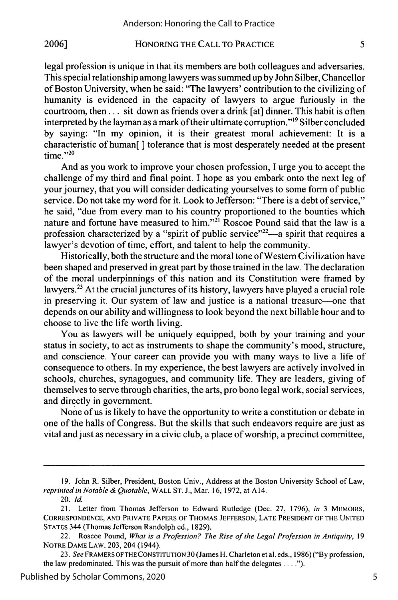#### HONORING THE CALL TO PRACTICE **2006]**

legal profession is unique in that its members are both colleagues and adversaries. This special relationship among lawyers was summed up by John Silber, Chancellor of Boston University, when he said: "The lawyers' contribution to the civilizing of humanity is evidenced in the capacity of lawyers to argue furiously in the courtroom, then.., sit down as friends over a drink [at] dinner. This habit is often interpreted by the layman as a mark of their ultimate corruption."<sup>19</sup> Silber concluded by saying: "In my opinion, it is their greatest moral achievement: It is a characteristic of human[ ] tolerance that is most desperately needed at the present  $time."^{20}$ 

And as you work to improve your chosen profession, I urge you to accept the challenge of my third and final point. I hope as you embark onto the next leg of your journey, that you will consider dedicating yourselves to some form of public service. Do not take my word for it. Look to Jefferson: "There is a debt of service," he said, "due from every man to his country proportioned to the bounties which nature and fortune have measured to him."<sup>21</sup> Roscoe Pound said that the law is a profession characterized by a "spirit of public service"<sup>22</sup>—a spirit that requires a lawyer's devotion of time, effort, and talent to help the community.

Historically, both the structure and the moral tone of Western Civilization have been shaped and preserved in great part by those trained in the law. The declaration of the moral underpinnings of this nation and its Constitution were framed by lawyers.<sup>23</sup> At the crucial junctures of its history, lawyers have played a crucial role in preserving it. Our system of law and justice is a national treasure--one that depends on our ability and willingness to look beyond the next billable hour and to choose to live the life worth living.

You as lawyers will be uniquely equipped, both by your training and your status in society, to act as instruments to shape the community's mood, structure, and conscience. Your career can provide you with many ways to live a life of consequence to others. In my experience, the best lawyers are actively involved in schools, churches, synagogues, and community life. They are leaders, giving of themselves to serve through charities, the arts, pro bono legal work, social services, and directly in government.

None of us is likely to have the opportunity to write a constitution or debate in one of the halls of Congress. But the skills that such endeavors require are just as vital and just as necessary in a civic club, a place of worship, a precinct committee,

<sup>19.</sup> John R. Silber, President, Boston Univ., Address at the Boston University School of Law, *reprinted in Notable & Quotable,* WALL ST. J., Mar. 16, 1972, at A 14.

<sup>20.</sup> **Id.**

<sup>21.</sup> Letter from Thomas Jefferson to Edward Rutledge (Dec. 27, 1796), *in* 3 MEMOIRS, CORRESPONDENCE, AND PRIVATE PAPERS OF THOMAS JEFFERSON, LATE PRESIDENT OF THE UNITED STATES 344 (Thomas Jefferson Randolph ed., 1829).

<sup>22.</sup> Roscoe Pound, *What is a Profession? The Rise of the Legal Profession in Antiquity,* 19 NOTRE DAME LAW. 203, 204 (1944).

<sup>23.</sup> *See* FRAMERS OFTHE CONSTITUTION 30 (James H. Charleton et al. eds., 1986) ("By profession, the law predominated. This was the pursuit of more than half the delegates **.... ").**